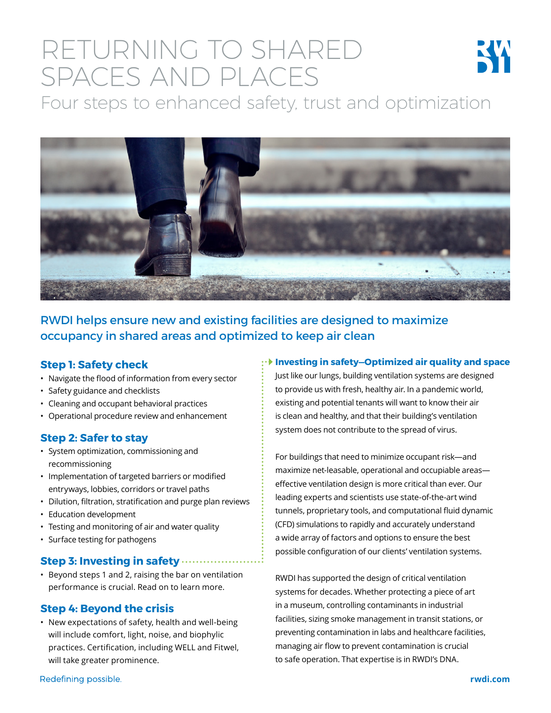# RETURNING TO SHARED SPACES AND PLACES



Four steps to enhanced safety, trust and optimization



RWDI helps ensure new and existing facilities are designed to maximize occupancy in shared areas and optimized to keep air clean

## **Step 1: Safety check**

- Navigate the flood of information from every sector
- Safety guidance and checklists
- Cleaning and occupant behavioral practices
- Operational procedure review and enhancement

# **Step 2: Safer to stay**

- System optimization, commissioning and recommissioning
- Implementation of targeted barriers or modified entryways, lobbies, corridors or travel paths
- Dilution, filtration, stratification and purge plan reviews
- Education development
- Testing and monitoring of air and water quality
- Surface testing for pathogens

#### **Step 3: Investing in safety**

• Beyond steps 1 and 2, raising the bar on ventilation performance is crucial. Read on to learn more.

## **Step 4: Beyond the crisis**

• New expectations of safety, health and well-being will include comfort, light, noise, and biophylic practices. Certification, including WELL and Fitwel, will take greater prominence.

#### **Investing in safety—Optimized air quality and space**

Just like our lungs, building ventilation systems are designed to provide us with fresh, healthy air. In a pandemic world, existing and potential tenants will want to know their air is clean and healthy, and that their building's ventilation system does not contribute to the spread of virus.

For buildings that need to minimize occupant risk—and maximize net-leasable, operational and occupiable areas effective ventilation design is more critical than ever. Our leading experts and scientists use state-of-the-art wind tunnels, proprietary tools, and computational fluid dynamic (CFD) simulations to rapidly and accurately understand a wide array of factors and options to ensure the best possible configuration of our clients' ventilation systems.

RWDI has supported the design of critical ventilation systems for decades. Whether protecting a piece of art in a museum, controlling contaminants in industrial facilities, sizing smoke management in transit stations, or preventing contamination in labs and healthcare facilities, managing air flow to prevent contamination is crucial to safe operation. That expertise is in RWDI's DNA.